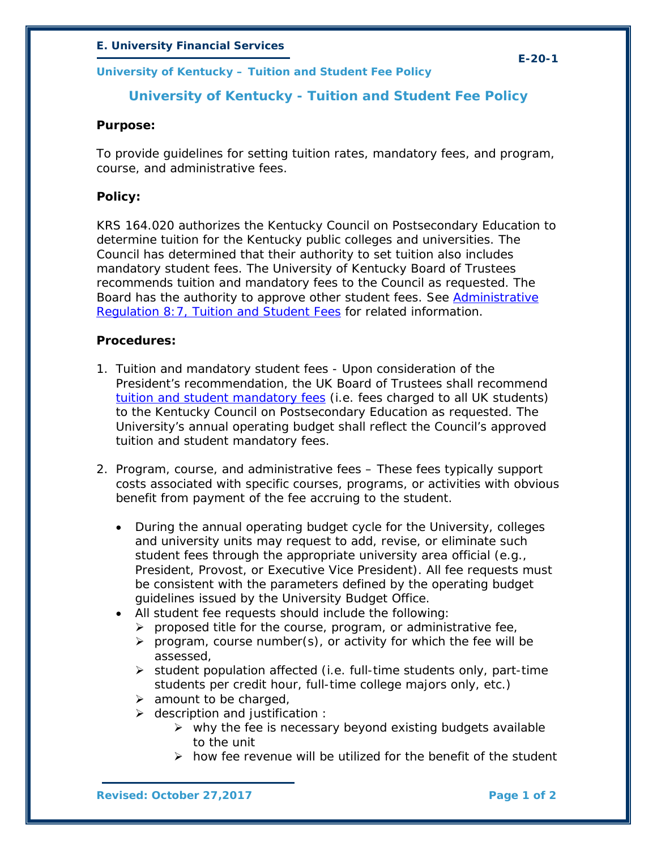### *E. University Financial Services*

*University of Kentucky – Tuition and Student Fee Policy*

## **University of Kentucky - Tuition and Student Fee Policy**

### **Purpose:**

To provide guidelines for setting tuition rates, mandatory fees, and program, course, and administrative fees.

### **Policy:**

KRS 164.020 authorizes the Kentucky Council on Postsecondary Education to determine tuition for the Kentucky public colleges and universities. The Council has determined that their authority to set tuition also includes mandatory student fees. The University of Kentucky Board of Trustees recommends tuition and mandatory fees to the Council as requested. The Board has the authority to approve other student fees. See [Administrative](http://www.uky.edu/regs/files/ar/ar8-7.pdf)  [Regulation 8:7, Tuition and Student Fees](http://www.uky.edu/regs/files/ar/ar8-7.pdf) for related information.

#### **Procedures:**

- 1. Tuition and mandatory student fees Upon consideration of the President's recommendation, the UK Board of Trustees shall recommend [tuition and student mandatory fees](http://www.uky.edu/Registrar/feesgen.htm) (i.e. fees charged to all UK students) to the Kentucky Council on Postsecondary Education as requested. The University's annual operating budget shall reflect the Council's approved tuition and student mandatory fees.
- 2. Program, course, and administrative fees These fees typically support costs associated with specific courses, programs, or activities with obvious benefit from payment of the fee accruing to the student.
	- During the annual operating budget cycle for the University, colleges and university units may request to add, revise, or eliminate such student fees through the appropriate university area official (e.g., President, Provost, or Executive Vice President). All fee requests must be consistent with the parameters defined by the operating budget guidelines issued by the University Budget Office.
	- All student fee requests should include the following:
		- $\triangleright$  proposed title for the course, program, or administrative fee,
		- $\triangleright$  program, course number(s), or activity for which the fee will be assessed,
		- $\triangleright$  student population affected (i.e. full-time students only, part-time students per credit hour, full-time college majors only, etc.)
		- $\triangleright$  amount to be charged,
		- $\triangleright$  description and justification :
			- $\triangleright$  why the fee is necessary beyond existing budgets available to the unit
			- $\triangleright$  how fee revenue will be utilized for the benefit of the student

*Revised: October 27,2017 Page 1 of 2*